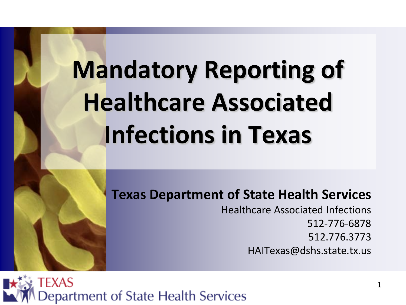# **Mandatory Reporting of Healthcare Associated Infections in Texas**

**Texas Department of State Health Services**

Healthcare Associated Infections 512-776-6878 512.776.3773 HAITexas@dshs.state.tx.us

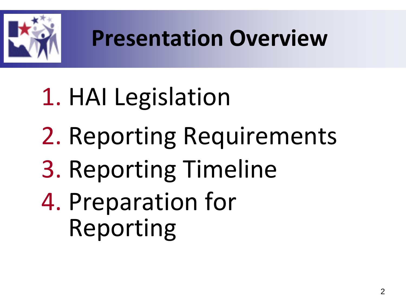

#### **Presentation Overview**

# 1. HAI Legislation 2. Reporting Requirements 3. Reporting Timeline 4. Preparation for Reporting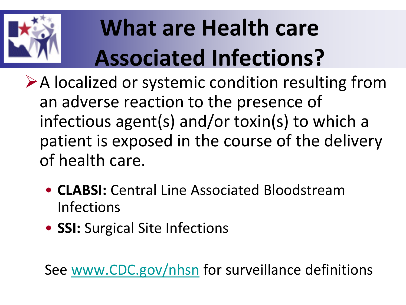

## **What are Health care Associated Infections?**

**Exaludized or systemic condition resulting from** an adverse reaction to the presence of infectious agent(s) and/or toxin(s) to which a patient is exposed in the course of the delivery of health care.

- **CLABSI:** Central Line Associated Bloodstream Infections
- **SSI:** Surgical Site Infections

See [www.CDC.gov/nhsn](http://www.cdc.gov/nhsn) for surveillance definitions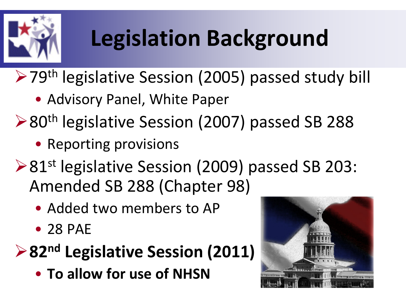

## **Legislation Background**

**≻79th legislative Session (2005) passed study bill** 

- Advisory Panel, White Paper
- ▶ 80<sup>th</sup> legislative Session (2007) passed SB 288
	- Reporting provisions
- ▶ 81<sup>st</sup> legislative Session (2009) passed SB 203: Amended SB 288 (Chapter 98)
	- Added two members to AP
	- 28 PAE

#### **82nd Legislative Session (2011)**

• **To allow for use of NHSN**

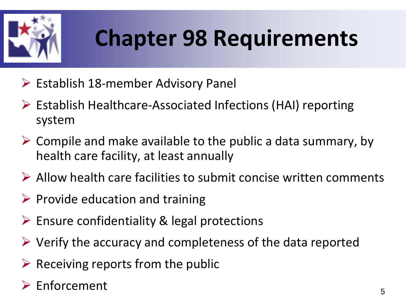

#### **Chapter 98 Requirements**

- $\triangleright$  Establish 18-member Advisory Panel
- Establish Healthcare-Associated Infections (HAI) reporting system
- $\triangleright$  Compile and make available to the public a data summary, by health care facility, at least annually
- $\triangleright$  Allow health care facilities to submit concise written comments
- $\triangleright$  Provide education and training
- $\triangleright$  Ensure confidentiality & legal protections
- $\triangleright$  Verify the accuracy and completeness of the data reported
- $\triangleright$  Receiving reports from the public
- $\triangleright$  Enforcement  $\overline{5}$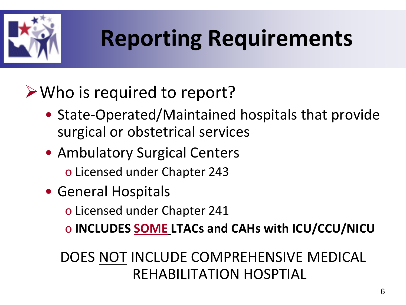

### **Reporting Requirements**

#### **≻Who is required to report?**

- State-Operated/Maintained hospitals that provide surgical or obstetrical services
- Ambulatory Surgical Centers o Licensed under Chapter 243
- General Hospitals
	- o Licensed under Chapter 241
	- o **INCLUDES SOME LTACs and CAHs with ICU/CCU/NICU**

#### DOES NOT INCLUDE COMPREHENSIVE MEDICAL REHABILITATION HOSPTIAL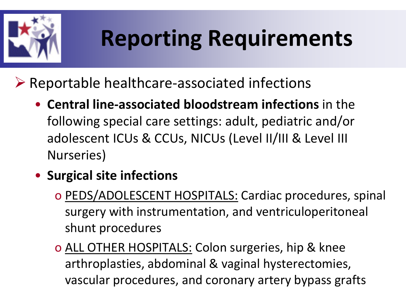

## **Reporting Requirements**

 $\triangleright$  Reportable healthcare-associated infections

- **Central line-associated bloodstream infections** in the following special care settings: adult, pediatric and/or adolescent ICUs & CCUs, NICUs (Level II/III & Level III Nurseries)
- **Surgical site infections**
	- o PEDS/ADOLESCENT HOSPITALS: Cardiac procedures, spinal surgery with instrumentation, and ventriculoperitoneal shunt procedures
	- o ALL OTHER HOSPITALS: Colon surgeries, hip & knee arthroplasties, abdominal & vaginal hysterectomies, vascular procedures, and coronary artery bypass grafts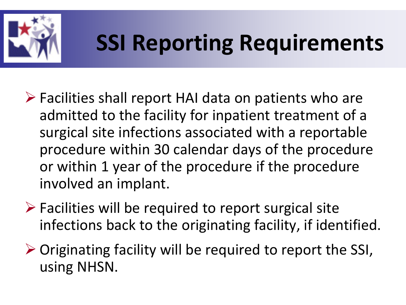

### **SSI Reporting Requirements**

- $\triangleright$  Facilities shall report HAI data on patients who are admitted to the facility for inpatient treatment of a surgical site infections associated with a reportable procedure within 30 calendar days of the procedure or within 1 year of the procedure if the procedure involved an implant.
- $\triangleright$  Facilities will be required to report surgical site infections back to the originating facility, if identified.
- $\triangleright$  Originating facility will be required to report the SSI, using NHSN.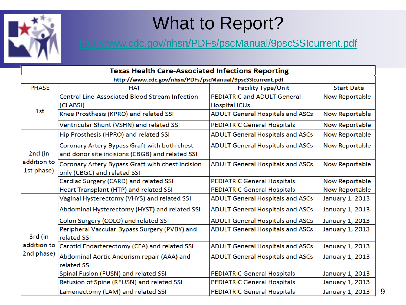

#### What to Report?

#### <http://www.cdc.gov/nhsn/PDFs/pscManual/9pscSSIcurrent.pdf>

| <b>Texas Health Care-Associated Infections Reporting</b>  |                                                       |                                         |                       |  |  |  |  |  |  |
|-----------------------------------------------------------|-------------------------------------------------------|-----------------------------------------|-----------------------|--|--|--|--|--|--|
| http://www.cdc.gov/nhsn/PDFs/pscManual/9pscSSIcurrent.pdf |                                                       |                                         |                       |  |  |  |  |  |  |
| <b>PHASE</b>                                              | <b>HAI</b>                                            | <b>Facility Type/Unit</b>               | <b>Start Date</b>     |  |  |  |  |  |  |
| 1st                                                       | <b>Central Line-Associated Blood Stream Infection</b> | <b>PEDIATRIC and ADULT General</b>      | <b>Now Reportable</b> |  |  |  |  |  |  |
|                                                           | (CLABSI)                                              | <b>Hospital ICUs</b>                    |                       |  |  |  |  |  |  |
|                                                           | Knee Prosthesis (KPRO) and related SSI                | <b>ADULT General Hospitals and ASCs</b> | <b>Now Reportable</b> |  |  |  |  |  |  |
|                                                           | Ventricular Shunt (VSHN) and related SSI              | <b>PEDIATRIC General Hospitals</b>      | <b>Now Reportable</b> |  |  |  |  |  |  |
| 2nd (in<br>addition to                                    | Hip Prosthesis (HPRO) and related SSI                 | <b>ADULT General Hospitals and ASCs</b> | <b>Now Reportable</b> |  |  |  |  |  |  |
|                                                           | Coronary Artery Bypass Graft with both chest          | <b>ADULT General Hospitals and ASCs</b> | <b>Now Reportable</b> |  |  |  |  |  |  |
|                                                           | and donor site incisions (CBGB) and related SSI       |                                         |                       |  |  |  |  |  |  |
|                                                           | Coronary Artery Bypass Graft with chest incision      | <b>ADULT General Hospitals and ASCs</b> | <b>Now Reportable</b> |  |  |  |  |  |  |
| 1st phase)                                                | only (CBGC) and related SSI                           |                                         |                       |  |  |  |  |  |  |
|                                                           | Cardiac Surgery (CARD) and related SSI                | <b>PEDIATRIC General Hospitals</b>      | <b>Now Reportable</b> |  |  |  |  |  |  |
|                                                           | Heart Transplant (HTP) and related SSI                | <b>PEDIATRIC General Hospitals</b>      | <b>Now Reportable</b> |  |  |  |  |  |  |
|                                                           | Vaginal Hysterectomy (VHYS) and related SSI           | <b>ADULT General Hospitals and ASCs</b> | January 1, 2013       |  |  |  |  |  |  |
|                                                           | Abdominal Hysterectomy (HYST) and related SSI         | <b>ADULT General Hospitals and ASCs</b> | January 1, 2013       |  |  |  |  |  |  |
|                                                           | Colon Surgery (COLO) and related SSI                  | <b>ADULT General Hospitals and ASCs</b> | January 1, 2013       |  |  |  |  |  |  |
|                                                           | Peripheral Vascular Bypass Surgery (PVBY) and         | <b>ADULT General Hospitals and ASCs</b> | January 1, 2013       |  |  |  |  |  |  |
| 3rd (in                                                   | related SSI                                           |                                         |                       |  |  |  |  |  |  |
| addition to<br>2nd phase)                                 | Carotid Endarterectomy (CEA) and related SSI          | <b>ADULT General Hospitals and ASCs</b> | January 1, 2013       |  |  |  |  |  |  |
|                                                           | Abdominal Aortic Aneurism repair (AAA) and            | <b>ADULT General Hospitals and ASCs</b> | January 1, 2013       |  |  |  |  |  |  |
|                                                           | related SSI                                           |                                         |                       |  |  |  |  |  |  |
|                                                           | Spinal Fusion (FUSN) and related SSI                  | <b>PEDIATRIC General Hospitals</b>      | January 1, 2013       |  |  |  |  |  |  |
|                                                           | Refusion of Spine (RFUSN) and related SSI             | <b>PEDIATRIC General Hospitals</b>      | January 1, 2013       |  |  |  |  |  |  |
|                                                           | Lamenectomy (LAM) and related SSI                     | <b>PEDIATRIC General Hospitals</b>      | January 1, 2013       |  |  |  |  |  |  |

9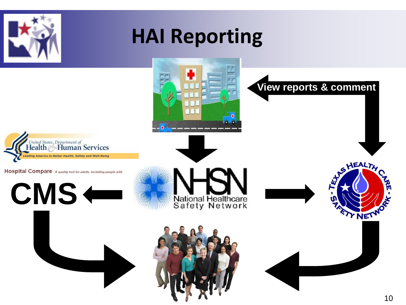

#### **HAI Reporting**

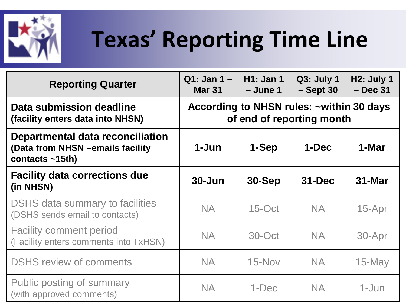

## **Texas' Reporting Time Line**

| <b>Reporting Quarter</b>                                                                    | $Q1:$ Jan 1 –<br><b>Mar 31</b>                                        | <b>H1: Jan 1</b><br>$-$ June 1 | Q3: July 1<br>$-$ Sept 30 | <b>H2: July 1</b><br>$-$ Dec 31 |  |  |
|---------------------------------------------------------------------------------------------|-----------------------------------------------------------------------|--------------------------------|---------------------------|---------------------------------|--|--|
| Data submission deadline<br>(facility enters data into NHSN)                                | According to NHSN rules: ~within 30 days<br>of end of reporting month |                                |                           |                                 |  |  |
| Departmental data reconciliation<br>(Data from NHSN - emails facility<br>contacts $~15th$ ) | 1-Jun                                                                 | 1-Sep                          | 1-Dec                     | 1-Mar                           |  |  |
| <b>Facility data corrections due</b><br>(in NHSN)                                           | $30 - Jun$                                                            | $30-Sep$                       | $31 - Dec$                | $31$ -Mar                       |  |  |
| <b>DSHS</b> data summary to facilities<br>(DSHS sends email to contacts)                    | <b>NA</b>                                                             | $15$ -Oct                      | <b>NA</b>                 | $15$ -Apr                       |  |  |
| <b>Facility comment period</b><br>(Facility enters comments into TxHSN)                     | <b>NA</b>                                                             | 30-Oct                         | NA.                       | 30-Apr                          |  |  |
| <b>DSHS review of comments</b>                                                              | <b>NA</b>                                                             | $15$ -Nov                      | <b>NA</b>                 | $15$ -May                       |  |  |
| Public posting of summary<br>(with approved comments)                                       | <b>NA</b>                                                             | $1-Dec$                        | <b>NA</b>                 | 1-Jun                           |  |  |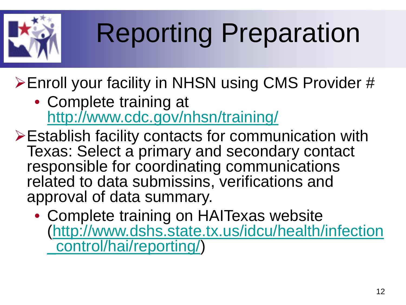

# Reporting Preparation

**≻Enroll your facility in NHSN using CMS Provider #** 

- Complete training at <http://www.cdc.gov/nhsn/training/>
- Establish facility contacts for communication with Texas: Select a primary and secondary contact responsible for coordinating communications related to data submissins, verifications and approval of data summary.
	- Complete training on HAITexas website [\(http://www.dshs.state.tx.us/idcu/health/infection](http://www.dshs.state.tx.us/idcu/health/infection_control/hai/reporting/) [\\_control/hai/reporting/](http://www.dshs.state.tx.us/idcu/health/infection_control/hai/reporting/))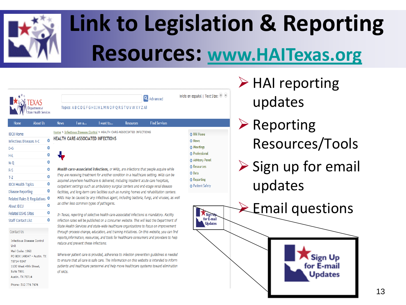

## **Link to Legislation & Reporting Resources: [www.HAITexas.org](http://www.haitexas.org/)**

| EXAS<br><b>State Health Services</b>                                             |         | Inicio en español   Text Size: (1)<br><b>Q</b> Advanced<br>Topics: ABCDEFGHIJKLMNOPQRSTUVWXYZAll |                                                                                                                                                                                                                                                                                                                         |                                                                                           |                       |                                                                                                                                                                                                                                                                                   |                                      | upo<br>Rep<br>Res |             |
|----------------------------------------------------------------------------------|---------|--------------------------------------------------------------------------------------------------|-------------------------------------------------------------------------------------------------------------------------------------------------------------------------------------------------------------------------------------------------------------------------------------------------------------------------|-------------------------------------------------------------------------------------------|-----------------------|-----------------------------------------------------------------------------------------------------------------------------------------------------------------------------------------------------------------------------------------------------------------------------------|--------------------------------------|-------------------|-------------|
| <b>About Us</b><br>Home                                                          |         | <b>News</b>                                                                                      | I am a                                                                                                                                                                                                                                                                                                                  | I want to                                                                                 | <b>Resources</b>      | <b>Find Services</b>                                                                                                                                                                                                                                                              |                                      |                   |             |
| <b>IDCU Home</b>                                                                 |         |                                                                                                  |                                                                                                                                                                                                                                                                                                                         | Home > Infectious Disease Control > HEALTH CARE-ASSOCIATED INFECTIONS                     |                       |                                                                                                                                                                                                                                                                                   | <b>O</b> HAI Home                    |                   |             |
| Infectious Diseases A-C                                                          | o       |                                                                                                  |                                                                                                                                                                                                                                                                                                                         | HEALTH CARE-ASSOCIATED INFECTIONS                                                         |                       |                                                                                                                                                                                                                                                                                   | <b>D</b> News                        |                   |             |
| $D-G$                                                                            | ٥       |                                                                                                  |                                                                                                                                                                                                                                                                                                                         |                                                                                           |                       |                                                                                                                                                                                                                                                                                   | <b>O</b> Meetings                    |                   |             |
| H-L                                                                              | ٥       |                                                                                                  |                                                                                                                                                                                                                                                                                                                         |                                                                                           |                       |                                                                                                                                                                                                                                                                                   | <b>O</b> Professional                |                   |             |
| M-Q                                                                              | ٥       |                                                                                                  |                                                                                                                                                                                                                                                                                                                         |                                                                                           |                       |                                                                                                                                                                                                                                                                                   | Advisory Panel<br><b>O</b> Resources |                   |             |
| $R-S$                                                                            | ٥       |                                                                                                  |                                                                                                                                                                                                                                                                                                                         |                                                                                           |                       | Health care-associated infections, or HAIs, are infections that people acquire while                                                                                                                                                                                              | <b>D</b> Data                        |                   | Sigr<br>upo |
| $T-Z$                                                                            | ٥       |                                                                                                  | they are receiving treatment for another condition in a healthcare setting. HAIs can be<br><b>O</b> Reporting<br>acquired anywhere healthcare is delivered, including inpatient acute care hospitals,<br><b>O</b> Patient Safety<br>outpatient settings such as ambulatory surgical centers and end-stage renal disease |                                                                                           |                       |                                                                                                                                                                                                                                                                                   |                                      |                   |             |
| <b>IDCU Health Topics</b>                                                        | ٥       |                                                                                                  |                                                                                                                                                                                                                                                                                                                         |                                                                                           |                       |                                                                                                                                                                                                                                                                                   |                                      |                   |             |
| <b>Disease Reporting</b>                                                         | 0       |                                                                                                  | facilities, and long-term care facilities such as nursing homes and rehabilitation centers.<br>HAIs may be caused by any infectious agent, including bacteria, fungi, and viruses, as well                                                                                                                              |                                                                                           |                       |                                                                                                                                                                                                                                                                                   |                                      |                   |             |
| <b>Related Rules &amp; Regulations</b>                                           | $\circ$ |                                                                                                  |                                                                                                                                                                                                                                                                                                                         | as other less common types of pathogens.                                                  |                       |                                                                                                                                                                                                                                                                                   |                                      |                   |             |
| About IDCU                                                                       | ٥       |                                                                                                  |                                                                                                                                                                                                                                                                                                                         |                                                                                           |                       |                                                                                                                                                                                                                                                                                   |                                      |                   |             |
| <b>Related DSHS Sites</b><br><b>Staff Contact List</b>                           | ۰<br>۰  |                                                                                                  |                                                                                                                                                                                                                                                                                                                         | In Texas, reporting of selective health care-associated infections is mandatory. Facility | Sign Up<br>for E-mail |                                                                                                                                                                                                                                                                                   |                                      |                   |             |
|                                                                                  |         |                                                                                                  |                                                                                                                                                                                                                                                                                                                         |                                                                                           |                       | infection rates will be published on a consumer website. This will lead the Department of<br>State Health Services and state-wide healthcare organizations to focus on improvement                                                                                                | <b>Updates</b>                       |                   |             |
| Contact Us                                                                       |         |                                                                                                  |                                                                                                                                                                                                                                                                                                                         |                                                                                           |                       | through process change, education, and training initiatives. On this website, you can find                                                                                                                                                                                        |                                      |                   |             |
| <b>Infectious Disease Control</b><br>Unit<br>Mail Code: 1960                     |         |                                                                                                  | reduce and prevent these infections.                                                                                                                                                                                                                                                                                    | reports, information, resources, and tools for healthcare consumers and providers to help |                       |                                                                                                                                                                                                                                                                                   |                                      |                   |             |
| PO BOX 149347 - Austin, TX<br>78714-9347<br>1100 West 49th Street.<br>Suite T801 |         | of HAIs.                                                                                         |                                                                                                                                                                                                                                                                                                                         |                                                                                           |                       | Wherever patient care is provided, adherence to infection prevention quidelines is needed<br>to ensure that all care is safe care. The information on this website is intended to inform<br>patients and healthcare personnel and help move healthcare systems toward elimination |                                      |                   |             |
| Austin, TX 78714<br>Phone: 512 776 7676                                          |         |                                                                                                  |                                                                                                                                                                                                                                                                                                                         |                                                                                           |                       |                                                                                                                                                                                                                                                                                   |                                      |                   |             |

 $\triangleright$  HAI reporting dates

- oorting sources/Tools
- n up for email dates



#### **Sign Up** or E-mail Jodates

13